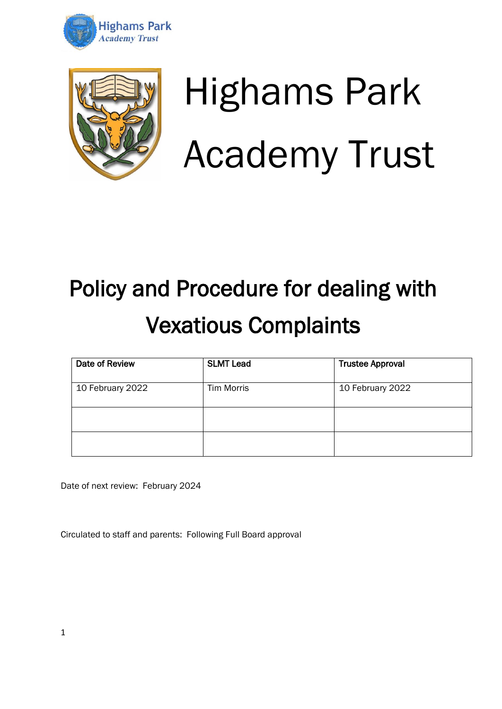



# Highams Park Academy Trust

## Policy and Procedure for dealing with Vexatious Complaints

| Date of Review   | <b>SLMT Lead</b>  | <b>Trustee Approval</b> |
|------------------|-------------------|-------------------------|
| 10 February 2022 | <b>Tim Morris</b> | 10 February 2022        |
|                  |                   |                         |
|                  |                   |                         |

Date of next review: February 2024

Circulated to staff and parents: Following Full Board approval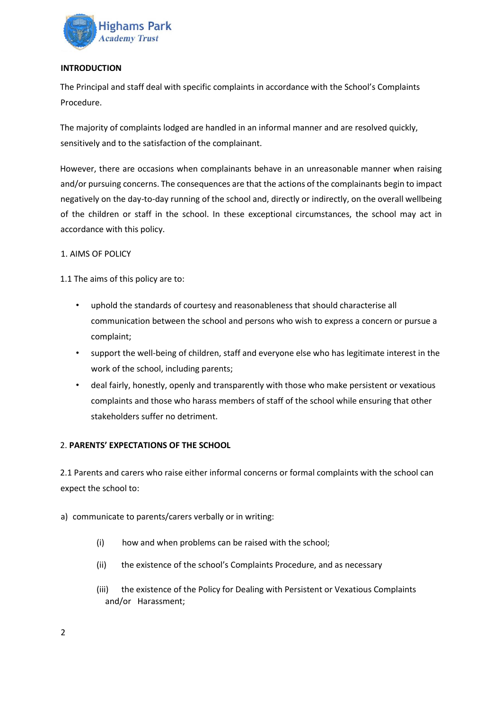

#### **INTRODUCTION**

The Principal and staff deal with specific complaints in accordance with the School's Complaints Procedure.

The majority of complaints lodged are handled in an informal manner and are resolved quickly, sensitively and to the satisfaction of the complainant.

However, there are occasions when complainants behave in an unreasonable manner when raising and/or pursuing concerns. The consequences are that the actions of the complainants begin to impact negatively on the day-to-day running of the school and, directly or indirectly, on the overall wellbeing of the children or staff in the school. In these exceptional circumstances, the school may act in accordance with this policy.

#### 1. AIMS OF POLICY

1.1 The aims of this policy are to:

- uphold the standards of courtesy and reasonableness that should characterise all communication between the school and persons who wish to express a concern or pursue a complaint;
- support the well-being of children, staff and everyone else who has legitimate interest in the work of the school, including parents;
- deal fairly, honestly, openly and transparently with those who make persistent or vexatious complaints and those who harass members of staff of the school while ensuring that other stakeholders suffer no detriment.

#### 2. **PARENTS' EXPECTATIONS OF THE SCHOOL**

2.1 Parents and carers who raise either informal concerns or formal complaints with the school can expect the school to:

- a) communicate to parents/carers verbally or in writing:
	- (i) how and when problems can be raised with the school;
	- (ii) the existence of the school's Complaints Procedure, and as necessary
	- (iii) the existence of the Policy for Dealing with Persistent or Vexatious Complaints and/or Harassment;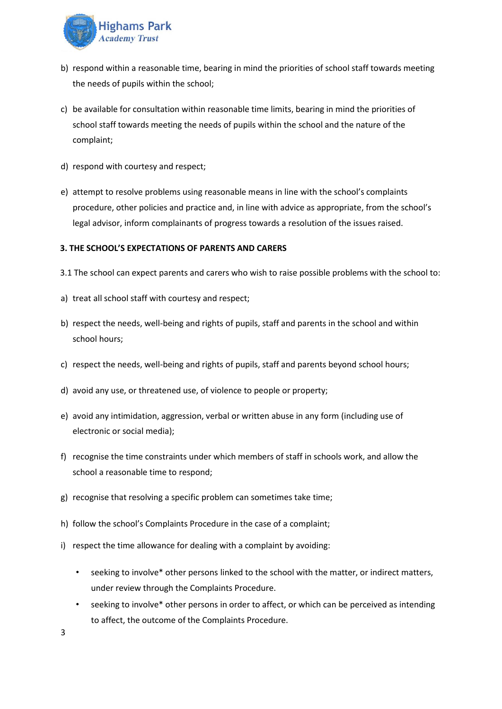

- b) respond within a reasonable time, bearing in mind the priorities of school staff towards meeting the needs of pupils within the school;
- c) be available for consultation within reasonable time limits, bearing in mind the priorities of school staff towards meeting the needs of pupils within the school and the nature of the complaint;
- d) respond with courtesy and respect;
- e) attempt to resolve problems using reasonable means in line with the school's complaints procedure, other policies and practice and, in line with advice as appropriate, from the school's legal advisor, inform complainants of progress towards a resolution of the issues raised.

#### **3. THE SCHOOL'S EXPECTATIONS OF PARENTS AND CARERS**

- 3.1 The school can expect parents and carers who wish to raise possible problems with the school to:
- a) treat all school staff with courtesy and respect;
- b) respect the needs, well-being and rights of pupils, staff and parents in the school and within school hours;
- c) respect the needs, well-being and rights of pupils, staff and parents beyond school hours;
- d) avoid any use, or threatened use, of violence to people or property;
- e) avoid any intimidation, aggression, verbal or written abuse in any form (including use of electronic or social media);
- f) recognise the time constraints under which members of staff in schools work, and allow the school a reasonable time to respond;
- g) recognise that resolving a specific problem can sometimes take time;
- h) follow the school's Complaints Procedure in the case of a complaint;
- i) respect the time allowance for dealing with a complaint by avoiding:
	- seeking to involve\* other persons linked to the school with the matter, or indirect matters, under review through the Complaints Procedure.
	- seeking to involve\* other persons in order to affect, or which can be perceived as intending to affect, the outcome of the Complaints Procedure.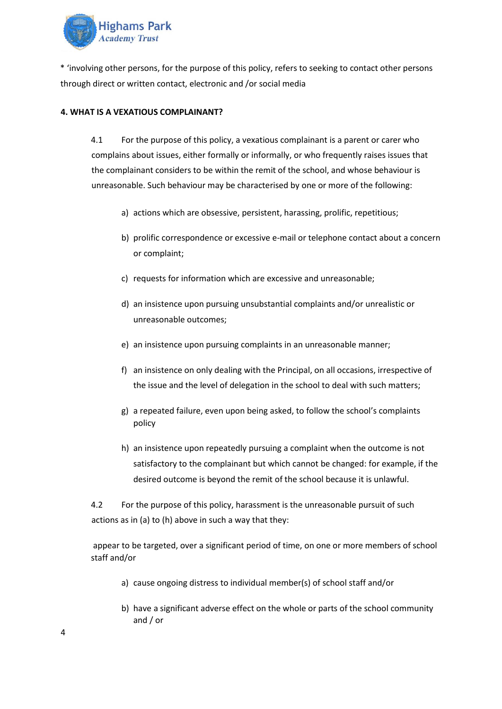

\* 'involving other persons, for the purpose of this policy, refers to seeking to contact other persons through direct or written contact, electronic and /or social media

#### **4. WHAT IS A VEXATIOUS COMPLAINANT?**

4.1 For the purpose of this policy, a vexatious complainant is a parent or carer who complains about issues, either formally or informally, or who frequently raises issues that the complainant considers to be within the remit of the school, and whose behaviour is unreasonable. Such behaviour may be characterised by one or more of the following:

- a) actions which are obsessive, persistent, harassing, prolific, repetitious;
- b) prolific correspondence or excessive e-mail or telephone contact about a concern or complaint;
- c) requests for information which are excessive and unreasonable;
- d) an insistence upon pursuing unsubstantial complaints and/or unrealistic or unreasonable outcomes;
- e) an insistence upon pursuing complaints in an unreasonable manner;
- f) an insistence on only dealing with the Principal, on all occasions, irrespective of the issue and the level of delegation in the school to deal with such matters;
- g) a repeated failure, even upon being asked, to follow the school's complaints policy
- h) an insistence upon repeatedly pursuing a complaint when the outcome is not satisfactory to the complainant but which cannot be changed: for example, if the desired outcome is beyond the remit of the school because it is unlawful.

4.2 For the purpose of this policy, harassment is the unreasonable pursuit of such actions as in (a) to (h) above in such a way that they:

appear to be targeted, over a significant period of time, on one or more members of school staff and/or

- a) cause ongoing distress to individual member(s) of school staff and/or
- b) have a significant adverse effect on the whole or parts of the school community and / or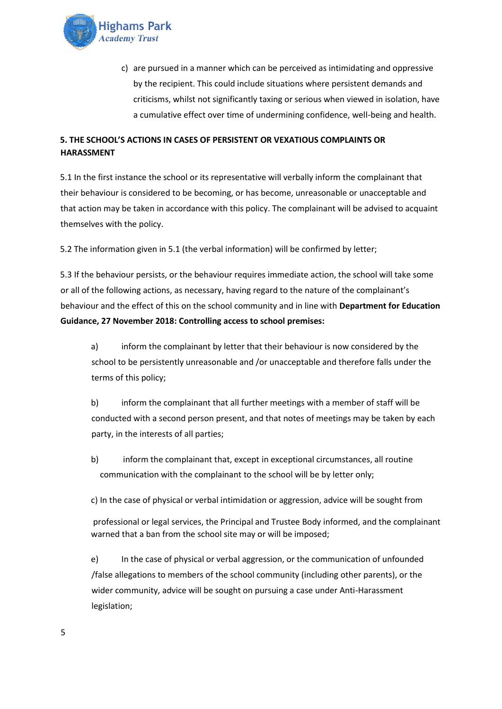

c) are pursued in a manner which can be perceived as intimidating and oppressive by the recipient. This could include situations where persistent demands and criticisms, whilst not significantly taxing or serious when viewed in isolation, have a cumulative effect over time of undermining confidence, well-being and health.

### **5. THE SCHOOL'S ACTIONS IN CASES OF PERSISTENT OR VEXATIOUS COMPLAINTS OR HARASSMENT**

5.1 In the first instance the school or its representative will verbally inform the complainant that their behaviour is considered to be becoming, or has become, unreasonable or unacceptable and that action may be taken in accordance with this policy. The complainant will be advised to acquaint themselves with the policy.

5.2 The information given in 5.1 (the verbal information) will be confirmed by letter;

5.3 If the behaviour persists, or the behaviour requires immediate action, the school will take some or all of the following actions, as necessary, having regard to the nature of the complainant's behaviour and the effect of this on the school community and in line with **Department for Education Guidance, 27 November 2018: Controlling access to school premises:** 

a) inform the complainant by letter that their behaviour is now considered by the school to be persistently unreasonable and /or unacceptable and therefore falls under the terms of this policy;

b) inform the complainant that all further meetings with a member of staff will be conducted with a second person present, and that notes of meetings may be taken by each party, in the interests of all parties;

b) inform the complainant that, except in exceptional circumstances, all routine communication with the complainant to the school will be by letter only;

c) In the case of physical or verbal intimidation or aggression, advice will be sought from

professional or legal services, the Principal and Trustee Body informed, and the complainant warned that a ban from the school site may or will be imposed;

e) In the case of physical or verbal aggression, or the communication of unfounded /false allegations to members of the school community (including other parents), or the wider community, advice will be sought on pursuing a case under Anti-Harassment legislation;